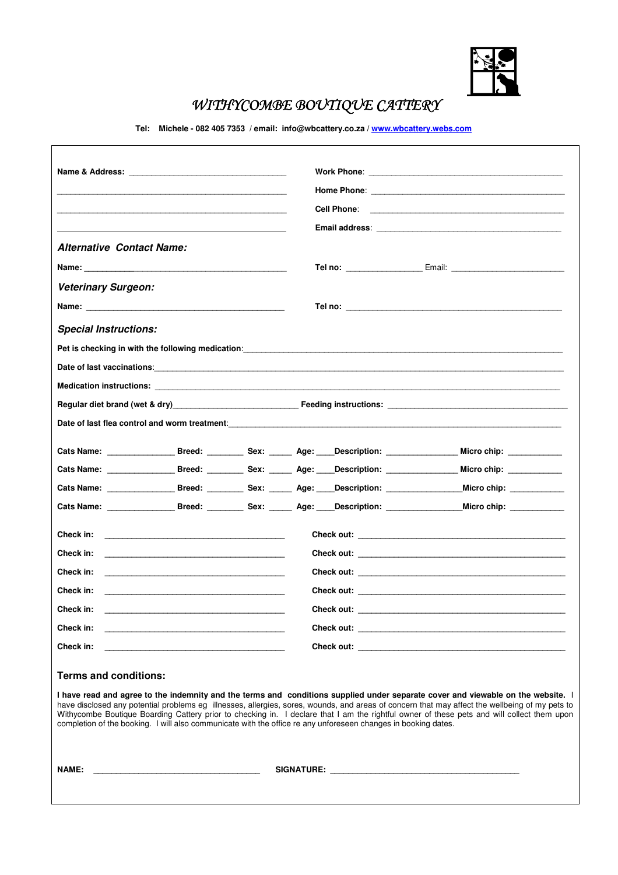

# WITHYCOMBE BOUTIQUE CATTERY

**Tel: Michele - 082 405 7353 / email: info@wbcattery.co.za / www.wbcattery.webs.com**

| <b>Alternative Contact Name:</b>                                                                                                                                                                                               |                                                          |  |            |                                                                                                                                                                                                                                                                                                                                                                                                                                  |  |
|--------------------------------------------------------------------------------------------------------------------------------------------------------------------------------------------------------------------------------|----------------------------------------------------------|--|------------|----------------------------------------------------------------------------------------------------------------------------------------------------------------------------------------------------------------------------------------------------------------------------------------------------------------------------------------------------------------------------------------------------------------------------------|--|
| Name: We have a state of the state of the state of the state of the state of the state of the state of the state of the state of the state of the state of the state of the state of the state of the state of the state of th |                                                          |  |            |                                                                                                                                                                                                                                                                                                                                                                                                                                  |  |
| <b>Veterinary Surgeon:</b>                                                                                                                                                                                                     |                                                          |  |            |                                                                                                                                                                                                                                                                                                                                                                                                                                  |  |
|                                                                                                                                                                                                                                |                                                          |  |            |                                                                                                                                                                                                                                                                                                                                                                                                                                  |  |
| <b>Special Instructions:</b>                                                                                                                                                                                                   |                                                          |  |            |                                                                                                                                                                                                                                                                                                                                                                                                                                  |  |
|                                                                                                                                                                                                                                |                                                          |  |            | Pet is checking in with the following medication: Production of the control of the control of the control of the control of the control of the control of the control of the control of the control of the control of the cont                                                                                                                                                                                                   |  |
|                                                                                                                                                                                                                                |                                                          |  |            |                                                                                                                                                                                                                                                                                                                                                                                                                                  |  |
|                                                                                                                                                                                                                                |                                                          |  |            |                                                                                                                                                                                                                                                                                                                                                                                                                                  |  |
|                                                                                                                                                                                                                                |                                                          |  |            |                                                                                                                                                                                                                                                                                                                                                                                                                                  |  |
|                                                                                                                                                                                                                                |                                                          |  |            | Date of last flea control and worm treatment: when the control of the control of the control of the control and                                                                                                                                                                                                                                                                                                                  |  |
|                                                                                                                                                                                                                                |                                                          |  |            | Cats Name: __________________Breed: ____________Sex: _______ Age: ____Description: _________________ Micro chip: ____________                                                                                                                                                                                                                                                                                                    |  |
|                                                                                                                                                                                                                                |                                                          |  |            | Cats Name: __________________Breed: ___________Sex: _______ Age: ____Description: __________________ Micro chip: ____________                                                                                                                                                                                                                                                                                                    |  |
|                                                                                                                                                                                                                                |                                                          |  |            | Cats Name: ____________________Breed: _____________Sex: _______ Age: ____Description: ____________________Micro chip: ______________                                                                                                                                                                                                                                                                                             |  |
|                                                                                                                                                                                                                                |                                                          |  |            | Cats Name: ____________________Breed: ____________Sex: _______ Age: ____Description: ________________________Micro chip: _____________                                                                                                                                                                                                                                                                                           |  |
|                                                                                                                                                                                                                                |                                                          |  |            |                                                                                                                                                                                                                                                                                                                                                                                                                                  |  |
|                                                                                                                                                                                                                                |                                                          |  |            |                                                                                                                                                                                                                                                                                                                                                                                                                                  |  |
|                                                                                                                                                                                                                                |                                                          |  |            |                                                                                                                                                                                                                                                                                                                                                                                                                                  |  |
|                                                                                                                                                                                                                                |                                                          |  |            |                                                                                                                                                                                                                                                                                                                                                                                                                                  |  |
| Check in:                                                                                                                                                                                                                      |                                                          |  | Check out: |                                                                                                                                                                                                                                                                                                                                                                                                                                  |  |
| Check in:                                                                                                                                                                                                                      | <u> 1989 - Johann John Stone, mars eta biztanleria (</u> |  |            |                                                                                                                                                                                                                                                                                                                                                                                                                                  |  |
| Check in:                                                                                                                                                                                                                      |                                                          |  |            |                                                                                                                                                                                                                                                                                                                                                                                                                                  |  |
| <b>Terms and conditions:</b>                                                                                                                                                                                                   |                                                          |  |            |                                                                                                                                                                                                                                                                                                                                                                                                                                  |  |
| completion of the booking. I will also communicate with the office re any unforeseen changes in booking dates.                                                                                                                 |                                                          |  |            | I have read and agree to the indemnity and the terms and conditions supplied under separate cover and viewable on the website. I<br>have disclosed any potential problems eg illnesses, allergies, sores, wounds, and areas of concern that may affect the wellbeing of my pets to<br>Withycombe Boutique Boarding Cattery prior to checking in. I declare that I am the rightful owner of these pets and will collect them upon |  |
| <b>NAME:</b>                                                                                                                                                                                                                   |                                                          |  |            |                                                                                                                                                                                                                                                                                                                                                                                                                                  |  |